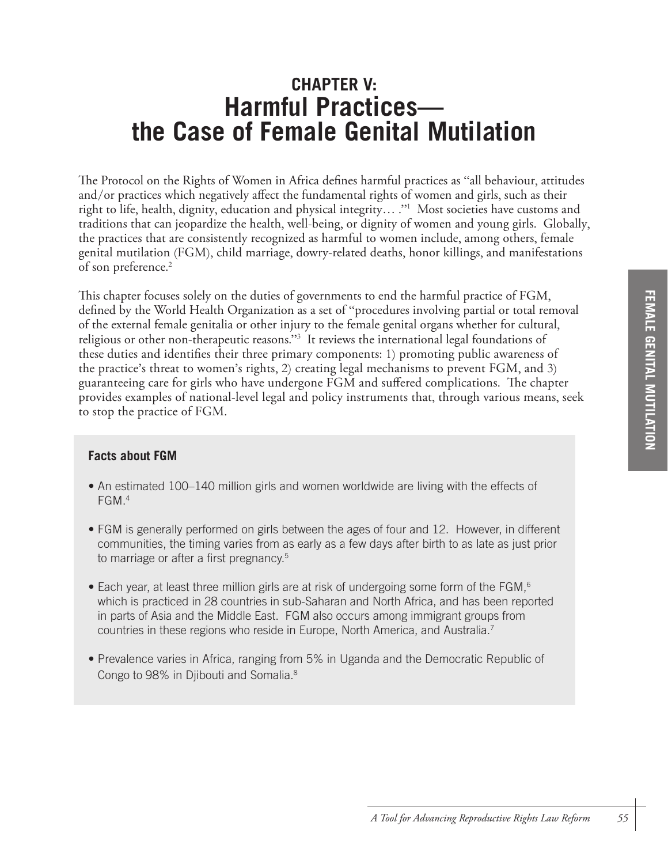# **CHAPTER V: Harmful Practices the Case of Female Genital Mutilation**

The Protocol on the Rights of Women in Africa defines harmful practices as "all behaviour, attitudes and/or practices which negatively affect the fundamental rights of women and girls, such as their right to life, health, dignity, education and physical integrity… ."1 Most societies have customs and traditions that can jeopardize the health, well-being, or dignity of women and young girls. Globally, the practices that are consistently recognized as harmful to women include, among others, female genital mutilation (FGM), child marriage, dowry-related deaths, honor killings, and manifestations of son preference. 2

This chapter focuses solely on the duties of governments to end the harmful practice of FGM, defined by the World Health Organization as a set of "procedures involving partial or total removal of the external female genitalia or other injury to the female genital organs whether for cultural, religious or other non-therapeutic reasons."3 It reviews the international legal foundations of these duties and identifies their three primary components: 1) promoting public awareness of the practice's threat to women's rights, 2) creating legal mechanisms to prevent FGM, and 3) guaranteeing care for girls who have undergone FGM and suffered complications. The chapter provides examples of national-level legal and policy instruments that, through various means, seek to stop the practice of FGM.

## **Facts about FGM**

- An estimated 100–140 million girls and women worldwide are living with the effects of FGM.4
- FGM is generally performed on girls between the ages of four and 12. However, in different communities, the timing varies from as early as a few days after birth to as late as just prior to marriage or after a first pregnancy.<sup>5</sup>
- Each year, at least three million girls are at risk of undergoing some form of the FGM,<sup>6</sup> which is practiced in 28 countries in sub-Saharan and North Africa, and has been reported in parts of Asia and the Middle East. FGM also occurs among immigrant groups from countries in these regions who reside in Europe, North America, and Australia.7
- Prevalence varies in Africa, ranging from 5% in Uganda and the Democratic Republic of Congo to 98% in Djibouti and Somalia.8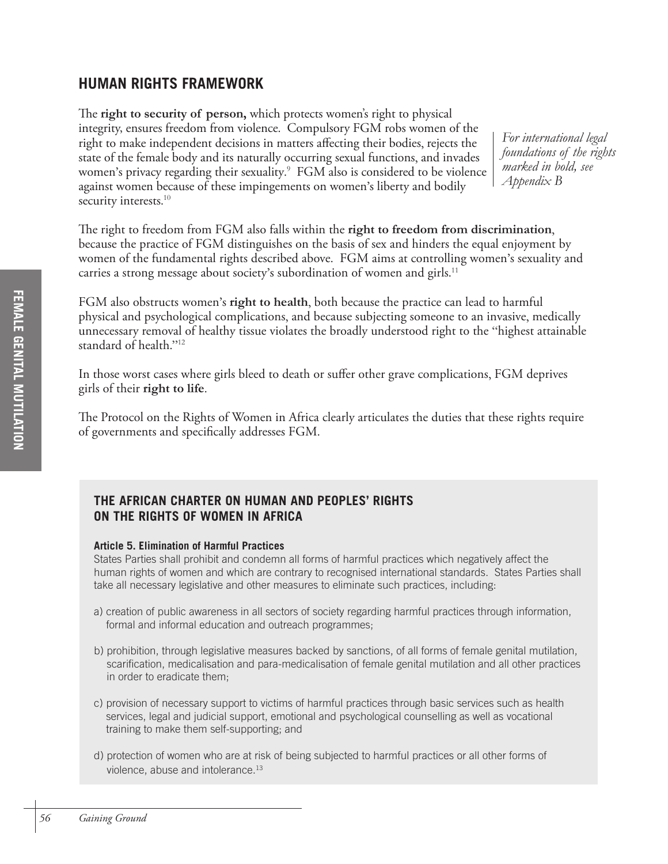## **HUMAN RIGHTS FRAMEWORK**

The **right to security of person,** which protects women's right to physical integrity, ensures freedom from violence. Compulsory FGM robs women of the right to make independent decisions in matters affecting their bodies, rejects the state of the female body and its naturally occurring sexual functions, and invades women's privacy regarding their sexuality. 9 FGM also is considered to be violence against women because of these impingements on women's liberty and bodily security interests.<sup>10</sup>

*For international legal foundations of the rights marked in bold, see Appendix B*

The right to freedom from FGM also falls within the **right to freedom from discrimination**, because the practice of FGM distinguishes on the basis of sex and hinders the equal enjoyment by women of the fundamental rights described above. FGM aims at controlling women's sexuality and carries a strong message about society's subordination of women and girls. $^{11}$ 

FGM also obstructs women's **right to health**, both because the practice can lead to harmful physical and psychological complications, and because subjecting someone to an invasive, medically unnecessary removal of healthy tissue violates the broadly understood right to the "highest attainable standard of health."12

In those worst cases where girls bleed to death or suffer other grave complications, FGM deprives girls of their **right to life**.

The Protocol on the Rights of Women in Africa clearly articulates the duties that these rights require of governments and specifically addresses FGM.

## **THE AFRICAN CHARTER ON HUMAN AND PEOPLES' RIGHTS ON THE RIGHTS OF WOMEN IN AFRICA**

#### **Article 5. Elimination of Harmful Practices**

States Parties shall prohibit and condemn all forms of harmful practices which negatively affect the human rights of women and which are contrary to recognised international standards. States Parties shall take all necessary legislative and other measures to eliminate such practices, including:

- a) creation of public awareness in all sectors of society regarding harmful practices through information, formal and informal education and outreach programmes;
- b) prohibition, through legislative measures backed by sanctions, of all forms of female genital mutilation, scarification, medicalisation and para-medicalisation of female genital mutilation and all other practices in order to eradicate them;
- c) provision of necessary support to victims of harmful practices through basic services such as health services, legal and judicial support, emotional and psychological counselling as well as vocational training to make them self-supporting; and
- d) protection of women who are at risk of being subjected to harmful practices or all other forms of violence, abuse and intolerance.<sup>13</sup>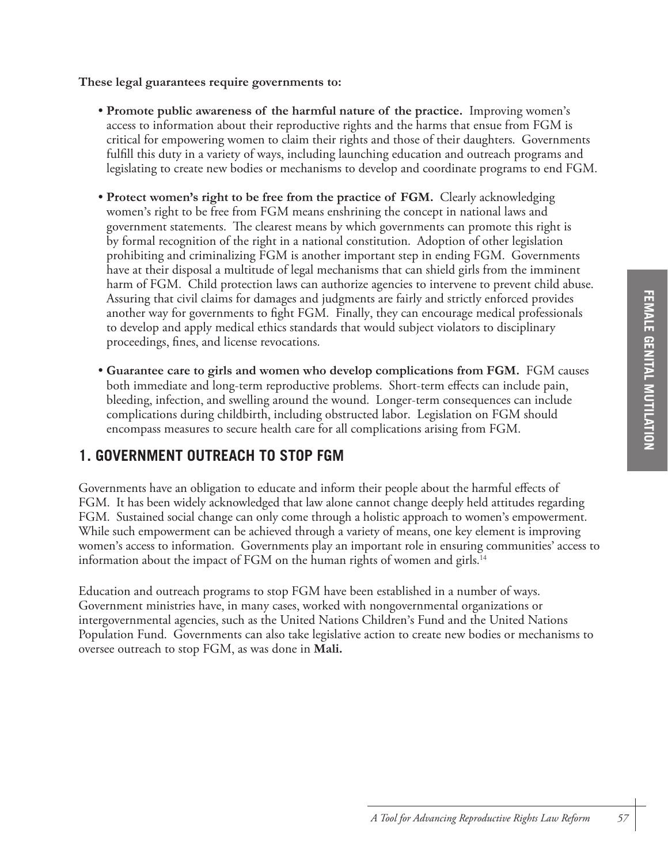## **These legal guarantees require governments to:**

- **Promote public awareness of the harmful nature of the practice.** Improving women's access to information about their reproductive rights and the harms that ensue from FGM is critical for empowering women to claim their rights and those of their daughters. Governments fulfill this duty in a variety of ways, including launching education and outreach programs and legislating to create new bodies or mechanisms to develop and coordinate programs to end FGM.
- **Protect women's right to be free from the practice of FGM.** Clearly acknowledging women's right to be free from FGM means enshrining the concept in national laws and government statements. The clearest means by which governments can promote this right is by formal recognition of the right in a national constitution. Adoption of other legislation prohibiting and criminalizing FGM is another important step in ending FGM. Governments have at their disposal a multitude of legal mechanisms that can shield girls from the imminent harm of FGM. Child protection laws can authorize agencies to intervene to prevent child abuse. Assuring that civil claims for damages and judgments are fairly and strictly enforced provides another way for governments to fight FGM. Finally, they can encourage medical professionals to develop and apply medical ethics standards that would subject violators to disciplinary proceedings, fines, and license revocations.
- **Guarantee care to girls and women who develop complications from FGM.** FGM causes both immediate and long-term reproductive problems. Short-term effects can include pain, bleeding, infection, and swelling around the wound. Longer-term consequences can include complications during childbirth, including obstructed labor. Legislation on FGM should encompass measures to secure health care for all complications arising from FGM.

## **1. GOVERNMENT OUTREACH TO STOP FGM**

Governments have an obligation to educate and inform their people about the harmful effects of FGM. It has been widely acknowledged that law alone cannot change deeply held attitudes regarding FGM. Sustained social change can only come through a holistic approach to women's empowerment. While such empowerment can be achieved through a variety of means, one key element is improving women's access to information. Governments play an important role in ensuring communities' access to information about the impact of FGM on the human rights of women and girls.<sup>14</sup>

Education and outreach programs to stop FGM have been established in a number of ways. Government ministries have, in many cases, worked with nongovernmental organizations or intergovernmental agencies, such as the United Nations Children's Fund and the United Nations Population Fund. Governments can also take legislative action to create new bodies or mechanisms to oversee outreach to stop FGM, as was done in **Mali.**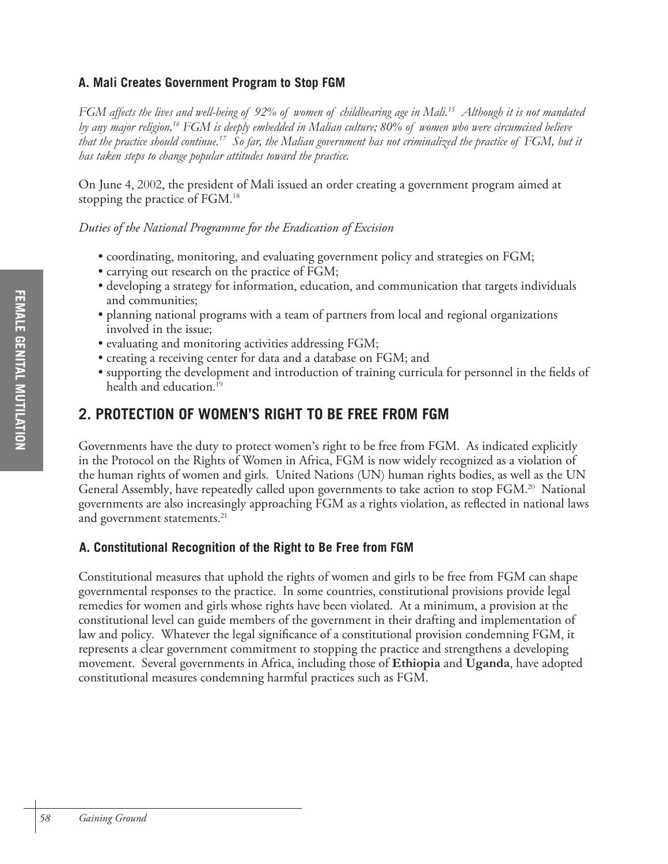## **A. Mali Creates Government Program to Stop FGM**

*FGM affects the lives and well-being of 92% of women of childbearing age in Mali.15 Although it is not mandated by any major religion,16 FGM is deeply embedded in Malian culture; 80% of women who were circumcised believe that the practice should continue.17 So far, the Malian government has not criminalized the practice of FGM, but it has taken steps to change popular attitudes toward the practice.* 

On June 4, 2002, the president of Mali issued an order creating a government program aimed at stopping the practice of FGM. 18

*Duties of the National Programme for the Eradication of Excision*

- coordinating, monitoring, and evaluating government policy and strategies on FGM;
- carrying out research on the practice of FGM;
- developing a strategy for information, education, and communication that targets individuals and communities;
- planning national programs with a team of partners from local and regional organizations involved in the issue;
- evaluating and monitoring activities addressing FGM;
- creating a receiving center for data and a database on FGM; and
- supporting the development and introduction of training curricula for personnel in the fields of health and education. 19

## **2. PROTECTION OF WOMEN'S RIGHT TO BE FREE FROM FGM**

Governments have the duty to protect women's right to be free from FGM. As indicated explicitly in the Protocol on the Rights of Women in Africa, FGM is now widely recognized as a violation of the human rights of women and girls. United Nations (UN) human rights bodies, as well as the UN General Assembly, have repeatedly called upon governments to take action to stop FGM. 20 National governments are also increasingly approaching FGM as a rights violation, as reflected in national laws and government statements. 21

## **A. Constitutional Recognition of the Right to Be Free from FGM**

Constitutional measures that uphold the rights of women and girls to be free from FGM can shape governmental responses to the practice. In some countries, constitutional provisions provide legal remedies for women and girls whose rights have been violated. At a minimum, a provision at the constitutional level can guide members of the government in their drafting and implementation of law and policy. Whatever the legal significance of a constitutional provision condemning FGM, it represents a clear government commitment to stopping the practice and strengthens a developing movement. Several governments in Africa, including those of **Ethiopia** and **Uganda**, have adopted constitutional measures condemning harmful practices such as FGM.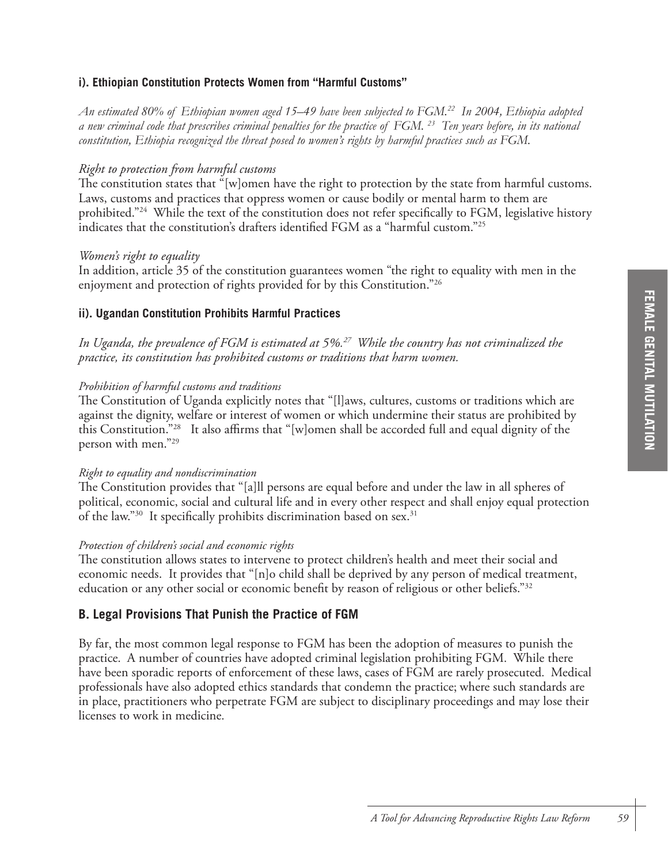## **i). Ethiopian Constitution Protects Women from "Harmful Customs"**

*An estimated 80% of Ethiopian women aged 15–49 have been subjected to FGM.22 In 2004, Ethiopia adopted a new criminal code that prescribes criminal penalties for the practice of FGM. 23 Ten years before, in its national constitution, Ethiopia recognized the threat posed to women's rights by harmful practices such as FGM.*

#### *Right to protection from harmful customs*

The constitution states that "[w]omen have the right to protection by the state from harmful customs. Laws, customs and practices that oppress women or cause bodily or mental harm to them are prohibited."<sup>24</sup> While the text of the constitution does not refer specifically to FGM, legislative history indicates that the constitution's drafters identified FGM as a "harmful custom."25

#### *Women's right to equality*

In addition, article 35 of the constitution guarantees women "the right to equality with men in the enjoyment and protection of rights provided for by this Constitution."26

#### **ii). Ugandan Constitution Prohibits Harmful Practices**

*In Uganda, the prevalence of FGM is estimated at 5%.27 While the country has not criminalized the practice, its constitution has prohibited customs or traditions that harm women.*

#### *Prohibition of harmful customs and traditions*

The Constitution of Uganda explicitly notes that "[l]aws, cultures, customs or traditions which are against the dignity, welfare or interest of women or which undermine their status are prohibited by this Constitution."28 It also affirms that "[w]omen shall be accorded full and equal dignity of the person with men."29

#### *Right to equality and nondiscrimination*

The Constitution provides that "[a]ll persons are equal before and under the law in all spheres of political, economic, social and cultural life and in every other respect and shall enjoy equal protection of the law."<sup>30</sup> It specifically prohibits discrimination based on sex.<sup>31</sup>

#### *Protection of children's social and economic rights*

The constitution allows states to intervene to protect children's health and meet their social and economic needs. It provides that "[n]o child shall be deprived by any person of medical treatment, education or any other social or economic benefit by reason of religious or other beliefs."32

## **B. Legal Provisions That Punish the Practice of FGM**

By far, the most common legal response to FGM has been the adoption of measures to punish the practice. A number of countries have adopted criminal legislation prohibiting FGM. While there have been sporadic reports of enforcement of these laws, cases of FGM are rarely prosecuted. Medical professionals have also adopted ethics standards that condemn the practice; where such standards are in place, practitioners who perpetrate FGM are subject to disciplinary proceedings and may lose their licenses to work in medicine.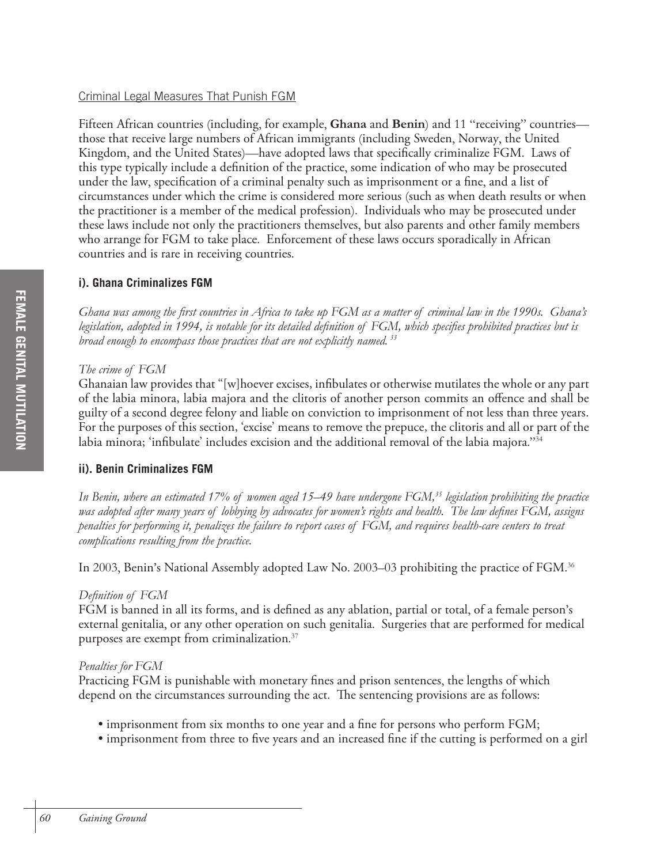## Criminal Legal Measures That Punish FGM

Fifteen African countries (including, for example, **Ghana** and **Benin**) and 11 "receiving" countries those that receive large numbers of African immigrants (including Sweden, Norway, the United Kingdom, and the United States)—have adopted laws that specifically criminalize FGM. Laws of this type typically include a definition of the practice, some indication of who may be prosecuted under the law, specification of a criminal penalty such as imprisonment or a fine, and a list of circumstances under which the crime is considered more serious (such as when death results or when the practitioner is a member of the medical profession). Individuals who may be prosecuted under these laws include not only the practitioners themselves, but also parents and other family members who arrange for FGM to take place. Enforcement of these laws occurs sporadically in African countries and is rare in receiving countries.

## **i). Ghana Criminalizes FGM**

*Ghana was among the first countries in Africa to take up FGM as a matter of criminal law in the 1990s. Ghana's legislation, adopted in 1994, is notable for its detailed definition of FGM, which specifies prohibited practices but is broad enough to encompass those practices that are not explicitly named. 33*

## *The crime of FGM*

Ghanaian law provides that "[w]hoever excises, infibulates or otherwise mutilates the whole or any part of the labia minora, labia majora and the clitoris of another person commits an offence and shall be guilty of a second degree felony and liable on conviction to imprisonment of not less than three years. For the purposes of this section, 'excise' means to remove the prepuce, the clitoris and all or part of the labia minora; 'infibulate' includes excision and the additional removal of the labia majora."<sup>34</sup>

## **ii). Benin Criminalizes FGM**

In Benin, where an estimated 17% of women aged 15–49 have undergone FGM,<sup>35</sup> legislation prohibiting the practice *was adopted after many years of lobbying by advocates for women's rights and health. The law defines FGM, assigns penalties for performing it, penalizes the failure to report cases of FGM, and requires health-care centers to treat complications resulting from the practice.*

In 2003, Benin's National Assembly adopted Law No. 2003–03 prohibiting the practice of FGM. 36

## *Definition of FGM*

FGM is banned in all its forms, and is defined as any ablation, partial or total, of a female person's external genitalia, or any other operation on such genitalia. Surgeries that are performed for medical purposes are exempt from criminalization. 37

## *Penalties for FGM*

Practicing FGM is punishable with monetary fines and prison sentences, the lengths of which depend on the circumstances surrounding the act. The sentencing provisions are as follows:

- imprisonment from six months to one year and a fine for persons who perform FGM;
- imprisonment from three to five years and an increased fine if the cutting is performed on a girl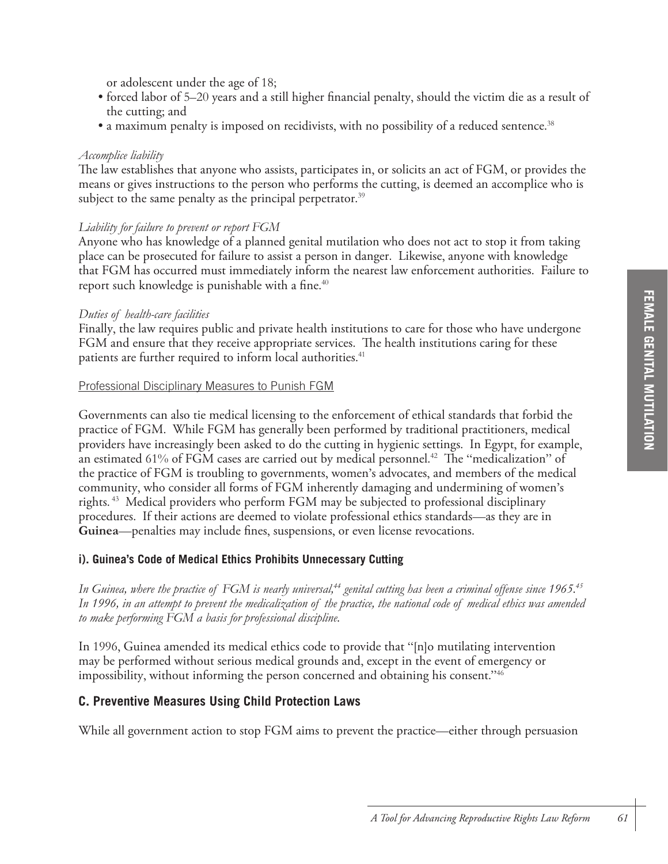or adolescent under the age of 18;

- forced labor of 5–20 years and a still higher financial penalty, should the victim die as a result of the cutting; and
- a maximum penalty is imposed on recidivists, with no possibility of a reduced sentence. 38

### *Accomplice liability*

The law establishes that anyone who assists, participates in, or solicits an act of FGM, or provides the means or gives instructions to the person who performs the cutting, is deemed an accomplice who is subject to the same penalty as the principal perpetrator. $^{39}$ 

## *Liability for failure to prevent or report FGM*

Anyone who has knowledge of a planned genital mutilation who does not act to stop it from taking place can be prosecuted for failure to assist a person in danger. Likewise, anyone with knowledge that FGM has occurred must immediately inform the nearest law enforcement authorities. Failure to report such knowledge is punishable with a fine. 40

### *Duties of health-care facilities*

Finally, the law requires public and private health institutions to care for those who have undergone FGM and ensure that they receive appropriate services. The health institutions caring for these patients are further required to inform local authorities. 41

#### Professional Disciplinary Measures to Punish FGM

Governments can also tie medical licensing to the enforcement of ethical standards that forbid the practice of FGM. While FGM has generally been performed by traditional practitioners, medical providers have increasingly been asked to do the cutting in hygienic settings. In Egypt, for example, an estimated 61% of FGM cases are carried out by medical personnel. 42 The "medicalization" of the practice of FGM is troubling to governments, women's advocates, and members of the medical community, who consider all forms of FGM inherently damaging and undermining of women's rights. 43 Medical providers who perform FGM may be subjected to professional disciplinary procedures. If their actions are deemed to violate professional ethics standards—as they are in **Guinea**—penalties may include fines, suspensions, or even license revocations.

#### **i). Guinea's Code of Medical Ethics Prohibits Unnecessary Cutting**

In Guinea, where the practice of FGM is nearly universal,<sup>44</sup> genital cutting has been a criminal offense since 1965.<sup>45</sup> *In 1996, in an attempt to prevent the medicalization of the practice, the national code of medical ethics was amended to make performing FGM a basis for professional discipline.*

In 1996, Guinea amended its medical ethics code to provide that "[n]o mutilating intervention may be performed without serious medical grounds and, except in the event of emergency or impossibility, without informing the person concerned and obtaining his consent."46

## **C. Preventive Measures Using Child Protection Laws**

While all government action to stop FGM aims to prevent the practice—either through persuasion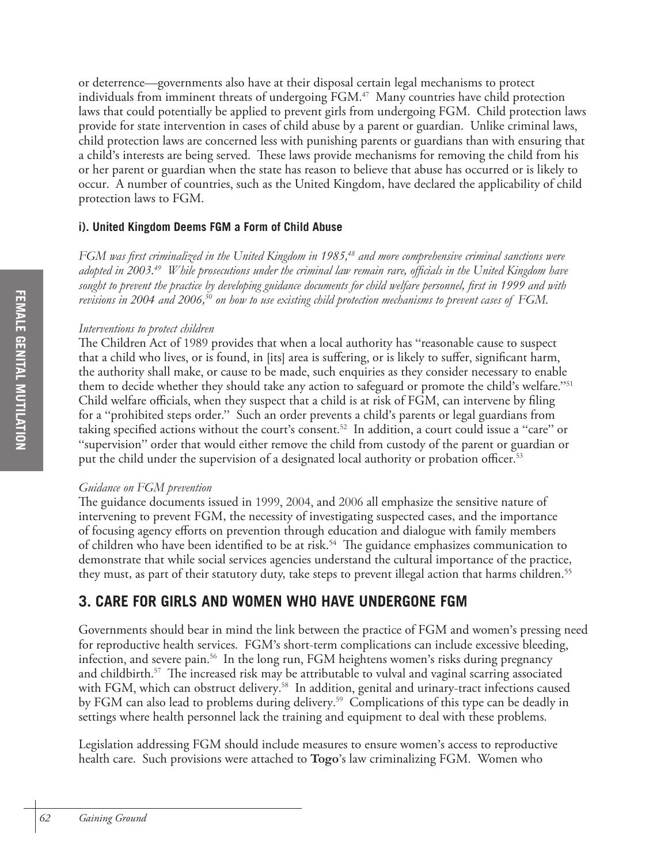or deterrence—governments also have at their disposal certain legal mechanisms to protect individuals from imminent threats of undergoing FGM. 47 Many countries have child protection laws that could potentially be applied to prevent girls from undergoing FGM. Child protection laws provide for state intervention in cases of child abuse by a parent or guardian. Unlike criminal laws, child protection laws are concerned less with punishing parents or guardians than with ensuring that a child's interests are being served. These laws provide mechanisms for removing the child from his or her parent or guardian when the state has reason to believe that abuse has occurred or is likely to occur. A number of countries, such as the United Kingdom, have declared the applicability of child protection laws to FGM.

## **i). United Kingdom Deems FGM a Form of Child Abuse**

*FGM was first criminalized in the United Kingdom in 1985,48 and more comprehensive criminal sanctions were adopted in 2003.49 While prosecutions under the criminal law remain rare, officials in the United Kingdom have sought to prevent the practice by developing guidance documents for child welfare personnel, first in 1999 and with revisions in 2004 and 2006,50 on how to use existing child protection mechanisms to prevent cases of FGM.*

## *Interventions to protect children*

The Children Act of 1989 provides that when a local authority has "reasonable cause to suspect that a child who lives, or is found, in [its] area is suffering, or is likely to suffer, significant harm, the authority shall make, or cause to be made, such enquiries as they consider necessary to enable them to decide whether they should take any action to safeguard or promote the child's welfare."51 Child welfare officials, when they suspect that a child is at risk of FGM, can intervene by filing for a "prohibited steps order." Such an order prevents a child's parents or legal guardians from taking specified actions without the court's consent. 52 In addition, a court could issue a "care" or "supervision" order that would either remove the child from custody of the parent or guardian or put the child under the supervision of a designated local authority or probation officer. 53

## *Guidance on FGM prevention*

The guidance documents issued in 1999, 2004, and 2006 all emphasize the sensitive nature of intervening to prevent FGM, the necessity of investigating suspected cases, and the importance of focusing agency efforts on prevention through education and dialogue with family members of children who have been identified to be at risk.<sup>54</sup> The guidance emphasizes communication to demonstrate that while social services agencies understand the cultural importance of the practice, they must, as part of their statutory duty, take steps to prevent illegal action that harms children.<sup>55</sup>

## **3. CARE FOR GIRLS AND WOMEN WHO HAVE UNDERGONE FGM**

Governments should bear in mind the link between the practice of FGM and women's pressing need for reproductive health services. FGM's short-term complications can include excessive bleeding, infection, and severe pain. 56 In the long run, FGM heightens women's risks during pregnancy and childbirth. 57 The increased risk may be attributable to vulval and vaginal scarring associated with FGM, which can obstruct delivery. 58 In addition, genital and urinary-tract infections caused by FGM can also lead to problems during delivery. 59 Complications of this type can be deadly in settings where health personnel lack the training and equipment to deal with these problems.

Legislation addressing FGM should include measures to ensure women's access to reproductive health care. Such provisions were attached to **Togo**'s law criminalizing FGM. Women who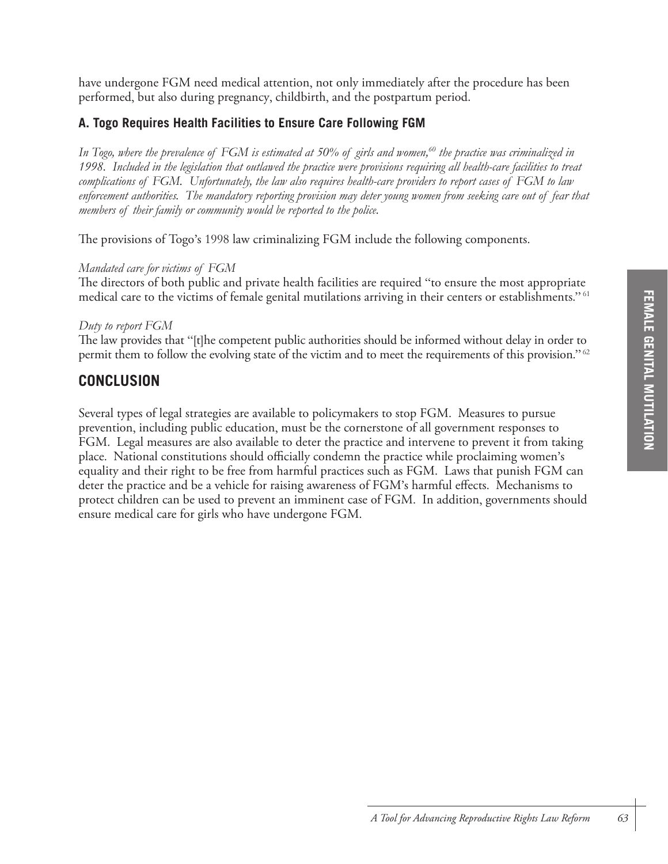have undergone FGM need medical attention, not only immediately after the procedure has been performed, but also during pregnancy, childbirth, and the postpartum period.

## **A. Togo Requires Health Facilities to Ensure Care Following FGM**

*In Togo, where the prevalence of FGM is estimated at 50% of girls and women,60 the practice was criminalized in 1998. Included in the legislation that outlawed the practice were provisions requiring all health-care facilities to treat complications of FGM. Unfortunately, the law also requires health-care providers to report cases of FGM to law enforcement authorities. The mandatory reporting provision may deter young women from seeking care out of fear that members of their family or community would be reported to the police.*

The provisions of Togo's 1998 law criminalizing FGM include the following components.

## *Mandated care for victims of FGM*

The directors of both public and private health facilities are required "to ensure the most appropriate medical care to the victims of female genital mutilations arriving in their centers or establishments." 61

#### *Duty to report FGM*

The law provides that "[t]he competent public authorities should be informed without delay in order to permit them to follow the evolving state of the victim and to meet the requirements of this provision." 62

## **CONCLUSION**

Several types of legal strategies are available to policymakers to stop FGM. Measures to pursue prevention, including public education, must be the cornerstone of all government responses to FGM. Legal measures are also available to deter the practice and intervene to prevent it from taking place. National constitutions should officially condemn the practice while proclaiming women's equality and their right to be free from harmful practices such as FGM. Laws that punish FGM can deter the practice and be a vehicle for raising awareness of FGM's harmful effects. Mechanisms to protect children can be used to prevent an imminent case of FGM. In addition, governments should ensure medical care for girls who have undergone FGM.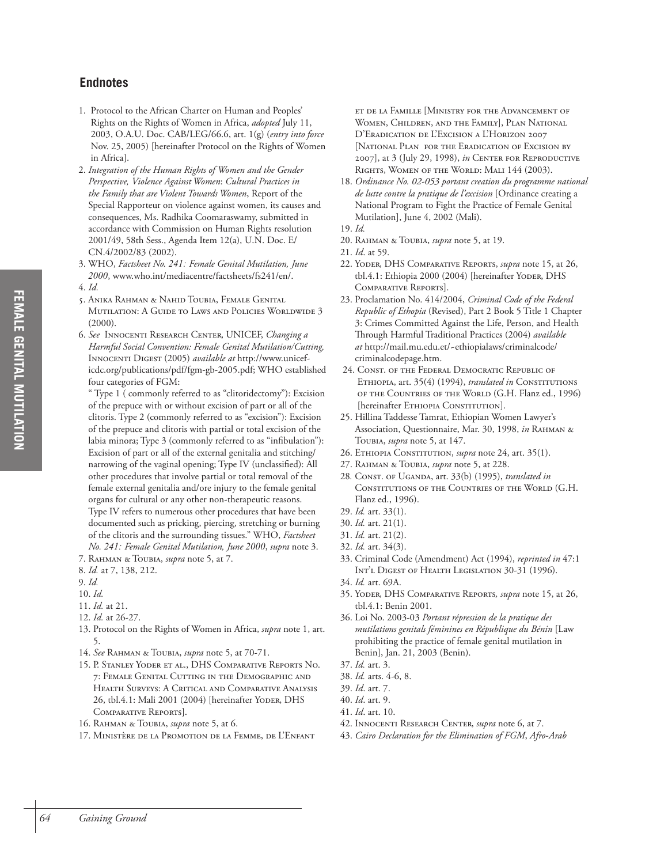## **Endnotes**

- 1. Protocol to the African Charter on Human and Peoples' Rights on the Rights of Women in Africa, *adopted* July 11, 2003, O.A.U. Doc. CAB/LEG/66.6, art. 1(g) (*entry into force* Nov. 25, 2005) [hereinafter Protocol on the Rights of Women in Africa].
- 2. *Integration of the Human Rights of Women and the Gender Perspective, Violence Against Women*: *Cultural Practices in the Family that are Violent Towards Women*, Report of the Special Rapporteur on violence against women, its causes and consequences, Ms. Radhika Coomaraswamy, submitted in accordance with Commission on Human Rights resolution 2001/49, 58th Sess., Agenda Item 12(a), U.N. Doc. E/ CN.4/2002/83 (2002).
- 3. WHO, *Factsheet No. 241: Female Genital Mutilation, June 2000*, www.who.int/mediacentre/factsheets/fs241/en/.
- 4. *Id.* 
	- 5. ANIKA RAHMAN & NAHID TOUBIA, FEMALE GENITAL MUTILATION: A GUIDE TO LAWS AND POLICIES WORLDWIDE 3  $(2000)$ .
	- 6. *See* INNOCENTI RESEARCH CENTER, UNICEF, *Changing a Harmful Social Convention: Female Genital Mutilation/Cutting,*  INNOCENTI DIGEST (2005) *available at* http://www.uniceficdc.org/publications/pdf/fgm-gb-2005.pdf; WHO established four categories of FGM:

" Type 1 ( commonly referred to as "clitoridectomy"): Excision of the prepuce with or without excision of part or all of the clitoris. Type 2 (commonly referred to as "excision"): Excision of the prepuce and clitoris with partial or total excision of the labia minora; Type 3 (commonly referred to as "infibulation"): Excision of part or all of the external genitalia and stitching/ narrowing of the vaginal opening; Type IV (unclassified): All other procedures that involve partial or total removal of the female external genitalia and/ore injury to the female genital organs for cultural or any other non-therapeutic reasons. Type IV refers to numerous other procedures that have been documented such as pricking, piercing, stretching or burning of the clitoris and the surrounding tissues." WHO, *Factsheet* 

- *No. 241: Female Genital Mutilation, June 2000*, *supra* note 3. 7. RAHMAN & TOUBIA, *supra* note 5, at 7.
- 8. *Id.* at 7, 138, 212.
- 9. *Id.*
- 10. *Id.*
- 11. *Id.* at 21.
- 12. *Id.* at 26-27.
- 13. Protocol on the Rights of Women in Africa, *supra* note 1, art. 5.
- 14. *See* RAHMAN & TOUBIA, *supra* note 5, at 70-71.
- 15. P. STANLEY YODER ET AL., DHS COMPARATIVE REPORTS NO. 7: FEMALE GENITAL CUTTING IN THE DEMOGRAPHIC AND HEALTH SURVEYS: A CRITICAL AND COMPARATIVE ANALYSIS 26, tbl.4.1: Mali 2001 (2004) [hereinafter YODER, DHS COMPARATIVE REPORTS].
- 16. RAHMAN & TOUBIA, *supra* note 5, at 6.
- 17. MINISTÈRE DE LA PROMOTION DE LA FEMME, DE L'ENFANT

ET DE LA FAMILLE [MINISTRY FOR THE ADVANCEMENT OF WOMEN, CHILDREN, AND THE FAMILY], PLAN NATIONAL D'ERADICATION DE L'EXCISION A L'HORIZON 2007 [NATIONAL PLAN FOR THE ERADICATION OF EXCISION BY 2007], at 3 (July 29, 1998), *in* CENTER FOR REPRODUCTIVE RIGHTS, WOMEN OF THE WORLD: MALI 144 (2003).

- 18. *Ordinance No. 02-053 portant creation du programme national de lutte contre la pratique de l'excision* [Ordinance creating a National Program to Fight the Practice of Female Genital Mutilation], June 4, 2002 (Mali).
- 19. *Id.*
- 20. RAHMAN & TOUBIA, *supra* note 5, at 19.
- 21. *Id*. at 59.
- 22. YODER, DHS COMPARATIVE REPORTS, *supra* note 15, at 26, tbl.4.1: Ethiopia 2000 (2004) [hereinafter YODER, DHS COMPARATIVE REPORTS].
- 23. Proclamation No. 414/2004, *Criminal Code of the Federal Republic of Ethopia* (Revised), Part 2 Book 5 Title 1 Chapter 3: Crimes Committed Against the Life, Person, and Health Through Harmful Traditional Practices (2004) *available at* http://mail.mu.edu.et/~ethiopialaws/criminalcode/ criminalcodepage.htm.
- 24. CONST. OF THE FEDERAL DEMOCRATIC REPUBLIC OF ETHIOPIA, art. 35(4) (1994), *translated in* CONSTITUTIONS OF THE COUNTRIES OF THE WORLD (G.H. Flanz ed., 1996) [hereinafter ETHIOPIA CONSTITUTION].
- 25. Hillina Taddesse Tamrat, Ethiopian Women Lawyer's Association, Questionnaire, Mar. 30, 1998, *in* RAHMAN & TOUBIA, *supra* note 5, at 147.
- 26. ETHIOPIA CONSTITUTION, *supra* note 24, art. 35(1).
- 27. RAHMAN & TOUBIA, *supra* note 5, at 228.
- 28*.* CONST. OF UGANDA, art. 33(b) (1995), *translated in* CONSTITUTIONS OF THE COUNTRIES OF THE WORLD (G.H. Flanz ed., 1996).
- 29. *Id.* art. 33(1).
- 30. *Id.* art. 21(1).
- 31. *Id.* art. 21(2).
- 32. *Id.* art. 34(3).
- 33. Criminal Code (Amendment) Act (1994), *reprinted in* 47:1 INT'L DIGEST OF HEALTH LEGISLATION 30-31 (1996).
- 34. *Id.* art. 69A.
- 35. YODER, DHS COMPARATIVE REPORTS*, supra* note 15, at 26, tbl.4.1: Benin 2001.
- 36. Loi No. 2003-03 *Portant répression de la pratique des mutilations genitals féminines en République du Bénin* [Law prohibiting the practice of female genital mutilation in Benin], Jan. 21, 2003 (Benin).
- 37. *Id.* art. 3.
- 38. *Id.* arts. 4-6, 8.
- 39. *Id*. art. 7.
- 40. *Id*. art. 9.
- 41. *Id*. art. 10.
- 42. INNOCENTI RESEARCH CENTER, *supra* note 6, at 7.
- 43. *Cairo Declaration for the Elimination of FGM*, *Afro-Arab*